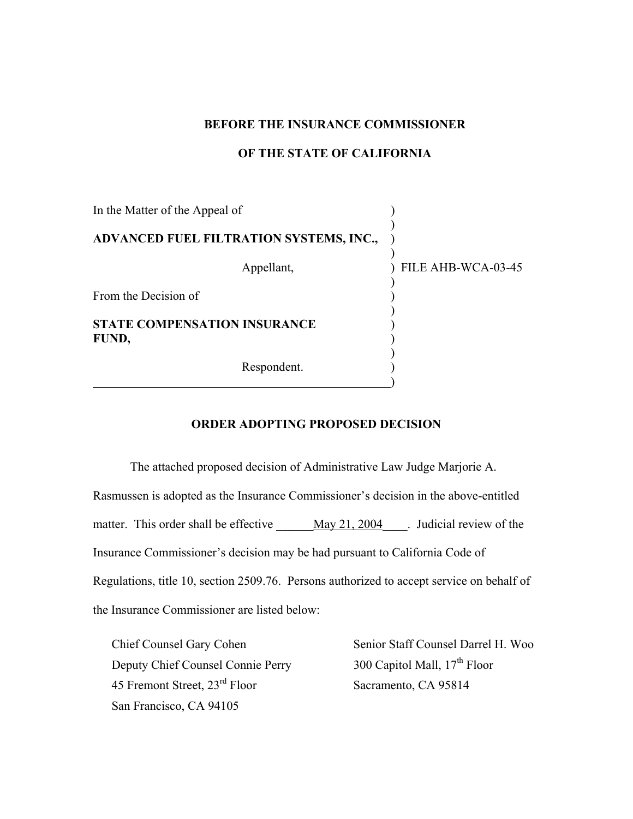#### **BEFORE THE INSURANCE COMMISSIONER**

## **OF THE STATE OF CALIFORNIA**

| In the Matter of the Appeal of               |                    |
|----------------------------------------------|--------------------|
| ADVANCED FUEL FILTRATION SYSTEMS, INC.,      |                    |
| Appellant,                                   | FILE AHB-WCA-03-45 |
| From the Decision of                         |                    |
| <b>STATE COMPENSATION INSURANCE</b><br>FUND, |                    |
| Respondent.                                  |                    |

### **ORDER ADOPTING PROPOSED DECISION**

The attached proposed decision of Administrative Law Judge Marjorie A. Rasmussen is adopted as the Insurance Commissioner's decision in the above-entitled matter. This order shall be effective  $\frac{May\ 21, 2004}{My\ 21, 2004}$  Judicial review of the Insurance Commissioner's decision may be had pursuant to California Code of Regulations, title 10, section 2509.76. Persons authorized to accept service on behalf of the Insurance Commissioner are listed below:

Deputy Chief Counsel Connie Perry 300 Capitol Mall, 17<sup>th</sup> Floor 45 Fremont Street, 23rd Floor Sacramento, CA 95814 San Francisco, CA 94105

Chief Counsel Gary Cohen Senior Staff Counsel Darrel H. Woo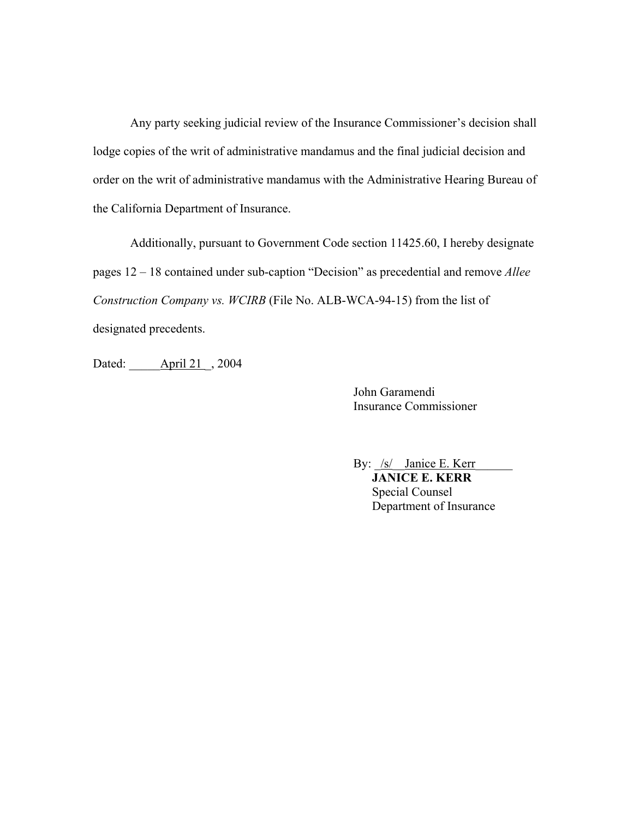Any party seeking judicial review of the Insurance Commissioner's decision shall lodge copies of the writ of administrative mandamus and the final judicial decision and order on the writ of administrative mandamus with the Administrative Hearing Bureau of the California Department of Insurance.

Additionally, pursuant to Government Code section 11425.60, I hereby designate pages 12 – 18 contained under sub-caption "Decision" as precedential and remove *Allee Construction Company vs. WCIRB* (File No. ALB-WCA-94-15) from the list of designated precedents.

Dated: <u>April 21</u>, 2004

John Garamendi Insurance Commissioner

By: <u>/s/\_\_Janice E. Kerr</u>  **JANICE E. KERR** Special Counsel Department of Insurance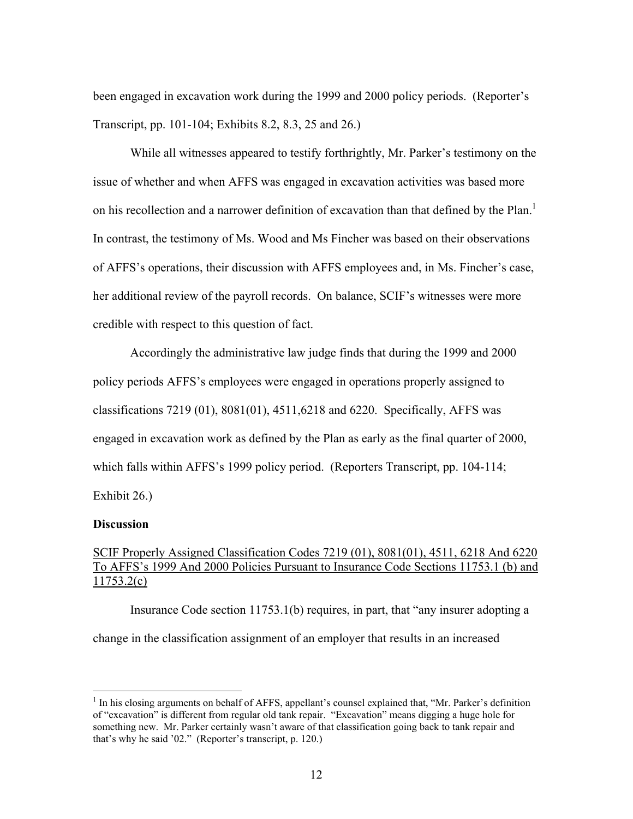been engaged in excavation work during the 1999 and 2000 policy periods. (Reporter's Transcript, pp. 101-104; Exhibits 8.2, 8.3, 25 and 26.)

While all witnesses appeared to testify forthrightly, Mr. Parker's testimony on the issue of whether and when AFFS was engaged in excavation activities was based more on his recollection and a narrower definition of excavation than that defined by the Plan.<sup>1</sup> In contrast, the testimony of Ms. Wood and Ms Fincher was based on their observations of AFFS's operations, their discussion with AFFS employees and, in Ms. Fincher's case, her additional review of the payroll records. On balance, SCIF's witnesses were more credible with respect to this question of fact.

Accordingly the administrative law judge finds that during the 1999 and 2000 policy periods AFFS's employees were engaged in operations properly assigned to classifications 7219 (01), 8081(01), 4511,6218 and 6220. Specifically, AFFS was engaged in excavation work as defined by the Plan as early as the final quarter of 2000, which falls within AFFS's 1999 policy period. (Reporters Transcript, pp. 104-114; Exhibit 26.)

#### **Discussion**

# SCIF Properly Assigned Classification Codes 7219 (01), 8081(01), 4511, 6218 And 6220 To AFFS's 1999 And 2000 Policies Pursuant to Insurance Code Sections 11753.1 (b) and 11753.2(c)

Insurance Code section 11753.1(b) requires, in part, that "any insurer adopting a change in the classification assignment of an employer that results in an increased

<sup>&</sup>lt;sup>1</sup> In his closing arguments on behalf of AFFS, appellant's counsel explained that, "Mr. Parker's definition of "excavation" is different from regular old tank repair. "Excavation" means digging a huge hole for something new. Mr. Parker certainly wasn't aware of that classification going back to tank repair and that's why he said '02." (Reporter's transcript, p. 120.)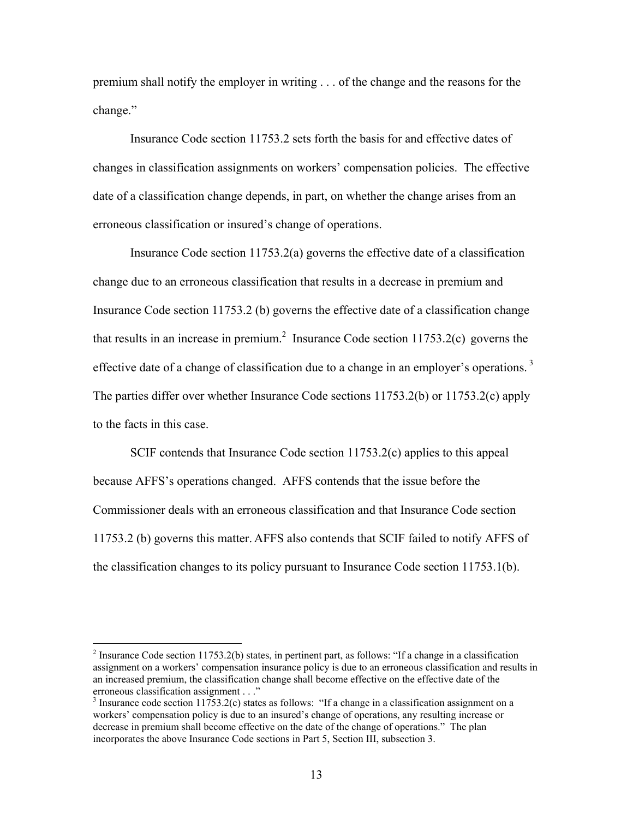premium shall notify the employer in writing . . . of the change and the reasons for the change."

Insurance Code section 11753.2 sets forth the basis for and effective dates of changes in classification assignments on workers' compensation policies. The effective date of a classification change depends, in part, on whether the change arises from an erroneous classification or insured's change of operations.

Insurance Code section 11753.2(a) governs the effective date of a classification change due to an erroneous classification that results in a decrease in premium and Insurance Code section 11753.2 (b) governs the effective date of a classification change that results in an increase in premium.<sup>2</sup> Insurance Code section 11753.2(c) governs the effective date of a change of classification due to a change in an employer's operations.<sup>3</sup> The parties differ over whether Insurance Code sections 11753.2(b) or 11753.2(c) apply to the facts in this case.

SCIF contends that Insurance Code section 11753.2(c) applies to this appeal because AFFS's operations changed. AFFS contends that the issue before the Commissioner deals with an erroneous classification and that Insurance Code section 11753.2 (b) governs this matter. AFFS also contends that SCIF failed to notify AFFS of the classification changes to its policy pursuant to Insurance Code section 11753.1(b).

 $\overline{a}$ 

<sup>&</sup>lt;sup>2</sup> Insurance Code section 11753.2(b) states, in pertinent part, as follows: "If a change in a classification assignment on a workers' compensation insurance policy is due to an erroneous classification and results in an increased premium, the classification change shall become effective on the effective date of the erroneous classification assignment . . ."

 incorporates the above Insurance Code sections in Part 5, Section III, subsection 3.  $3$  Insurance code section 11753.2(c) states as follows: "If a change in a classification assignment on a workers' compensation policy is due to an insured's change of operations, any resulting increase or decrease in premium shall become effective on the date of the change of operations." The plan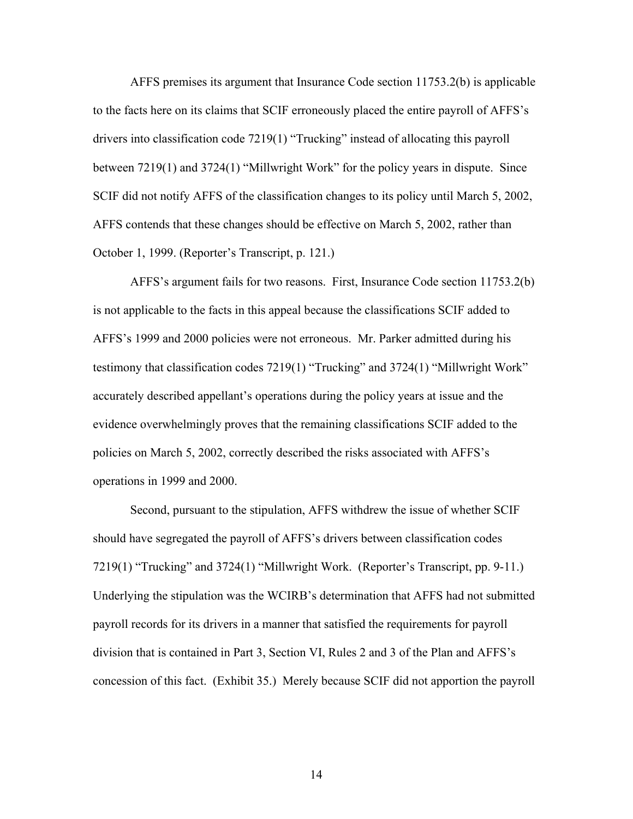AFFS premises its argument that Insurance Code section 11753.2(b) is applicable to the facts here on its claims that SCIF erroneously placed the entire payroll of AFFS's drivers into classification code 7219(1) "Trucking" instead of allocating this payroll between 7219(1) and 3724(1) "Millwright Work" for the policy years in dispute. Since SCIF did not notify AFFS of the classification changes to its policy until March 5, 2002, AFFS contends that these changes should be effective on March 5, 2002, rather than October 1, 1999. (Reporter's Transcript, p. 121.)

AFFS's argument fails for two reasons. First, Insurance Code section 11753.2(b) is not applicable to the facts in this appeal because the classifications SCIF added to AFFS's 1999 and 2000 policies were not erroneous. Mr. Parker admitted during his testimony that classification codes 7219(1) "Trucking" and 3724(1) "Millwright Work" accurately described appellant's operations during the policy years at issue and the evidence overwhelmingly proves that the remaining classifications SCIF added to the policies on March 5, 2002, correctly described the risks associated with AFFS's operations in 1999 and 2000.

Second, pursuant to the stipulation, AFFS withdrew the issue of whether SCIF should have segregated the payroll of AFFS's drivers between classification codes 7219(1) "Trucking" and 3724(1) "Millwright Work. (Reporter's Transcript, pp. 9-11.) Underlying the stipulation was the WCIRB's determination that AFFS had not submitted payroll records for its drivers in a manner that satisfied the requirements for payroll division that is contained in Part 3, Section VI, Rules 2 and 3 of the Plan and AFFS's concession of this fact. (Exhibit 35.) Merely because SCIF did not apportion the payroll

14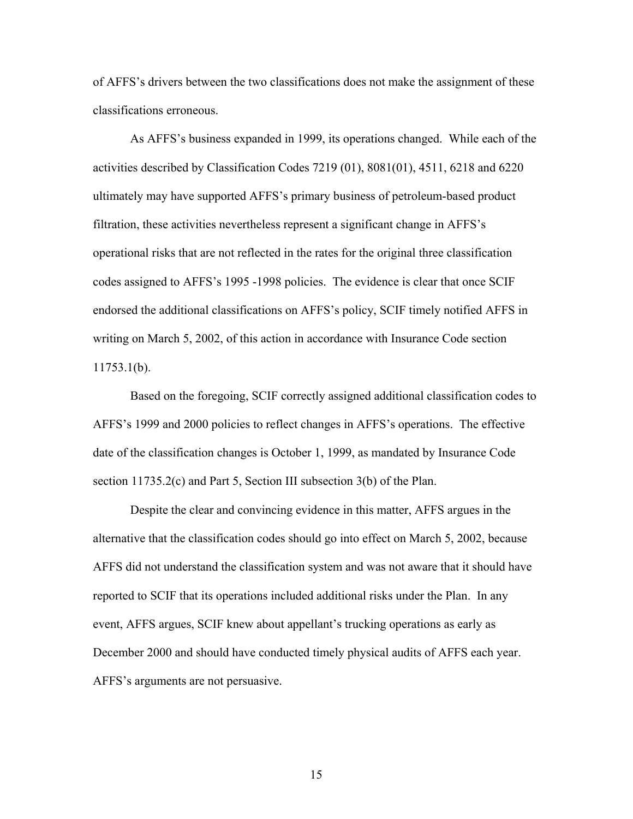of AFFS's drivers between the two classifications does not make the assignment of these classifications erroneous.

As AFFS's business expanded in 1999, its operations changed. While each of the activities described by Classification Codes 7219 (01), 8081(01), 4511, 6218 and 6220 ultimately may have supported AFFS's primary business of petroleum-based product filtration, these activities nevertheless represent a significant change in AFFS's operational risks that are not reflected in the rates for the original three classification codes assigned to AFFS's 1995 -1998 policies. The evidence is clear that once SCIF endorsed the additional classifications on AFFS's policy, SCIF timely notified AFFS in writing on March 5, 2002, of this action in accordance with Insurance Code section 11753.1(b).

Based on the foregoing, SCIF correctly assigned additional classification codes to AFFS's 1999 and 2000 policies to reflect changes in AFFS's operations. The effective date of the classification changes is October 1, 1999, as mandated by Insurance Code section 11735.2(c) and Part 5, Section III subsection 3(b) of the Plan.

Despite the clear and convincing evidence in this matter, AFFS argues in the alternative that the classification codes should go into effect on March 5, 2002, because AFFS did not understand the classification system and was not aware that it should have reported to SCIF that its operations included additional risks under the Plan. In any event, AFFS argues, SCIF knew about appellant's trucking operations as early as December 2000 and should have conducted timely physical audits of AFFS each year. AFFS's arguments are not persuasive.

15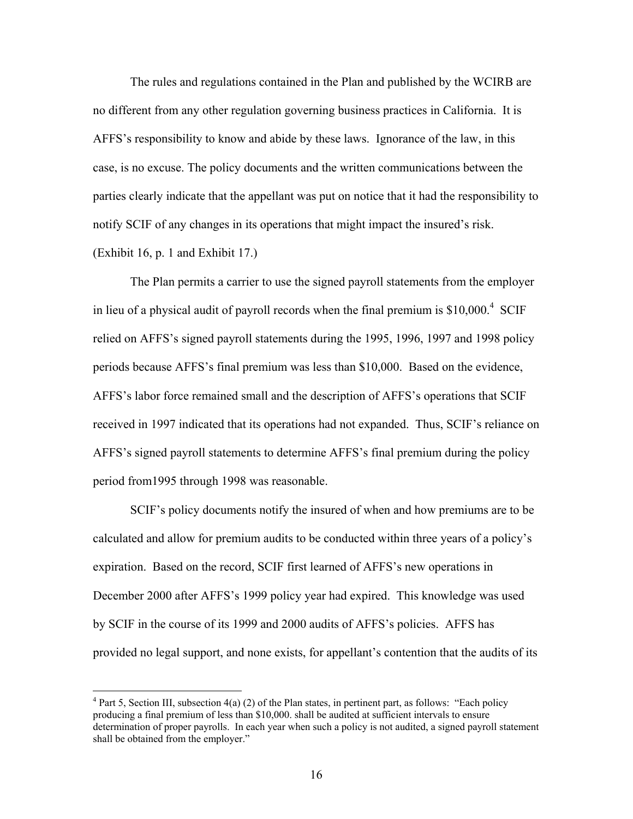The rules and regulations contained in the Plan and published by the WCIRB are no different from any other regulation governing business practices in California. It is AFFS's responsibility to know and abide by these laws. Ignorance of the law, in this case, is no excuse. The policy documents and the written communications between the parties clearly indicate that the appellant was put on notice that it had the responsibility to notify SCIF of any changes in its operations that might impact the insured's risk. (Exhibit 16, p. 1 and Exhibit 17.)

The Plan permits a carrier to use the signed payroll statements from the employer in lieu of a physical audit of payroll records when the final premium is  $$10,000<sup>4</sup>$  SCIF relied on AFFS's signed payroll statements during the 1995, 1996, 1997 and 1998 policy periods because AFFS's final premium was less than \$10,000. Based on the evidence, AFFS's labor force remained small and the description of AFFS's operations that SCIF received in 1997 indicated that its operations had not expanded. Thus, SCIF's reliance on AFFS's signed payroll statements to determine AFFS's final premium during the policy period from1995 through 1998 was reasonable.

SCIF's policy documents notify the insured of when and how premiums are to be calculated and allow for premium audits to be conducted within three years of a policy's expiration. Based on the record, SCIF first learned of AFFS's new operations in December 2000 after AFFS's 1999 policy year had expired. This knowledge was used by SCIF in the course of its 1999 and 2000 audits of AFFS's policies. AFFS has provided no legal support, and none exists, for appellant's contention that the audits of its

 $\overline{a}$ 

<sup>&</sup>lt;sup>4</sup> Part 5, Section III, subsection  $4(a)$  (2) of the Plan states, in pertinent part, as follows: "Each policy producing a final premium of less than \$10,000. shall be audited at sufficient intervals to ensure determination of proper payrolls. In each year when such a policy is not audited, a signed payroll statement shall be obtained from the employer."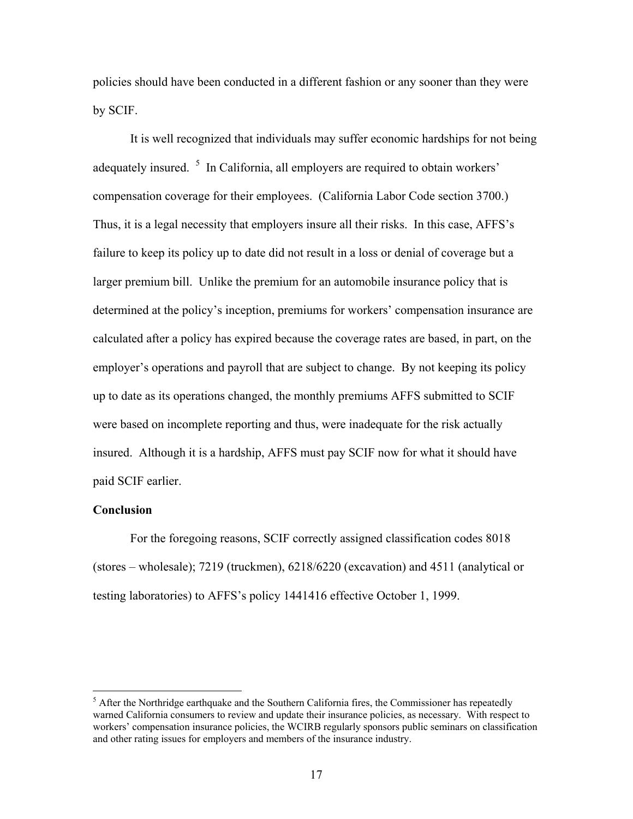policies should have been conducted in a different fashion or any sooner than they were by SCIF.

It is well recognized that individuals may suffer economic hardships for not being adequately insured.  $5$  In California, all employers are required to obtain workers' compensation coverage for their employees. (California Labor Code section 3700.) Thus, it is a legal necessity that employers insure all their risks. In this case, AFFS's failure to keep its policy up to date did not result in a loss or denial of coverage but a larger premium bill. Unlike the premium for an automobile insurance policy that is determined at the policy's inception, premiums for workers' compensation insurance are calculated after a policy has expired because the coverage rates are based, in part, on the employer's operations and payroll that are subject to change. By not keeping its policy up to date as its operations changed, the monthly premiums AFFS submitted to SCIF were based on incomplete reporting and thus, were inadequate for the risk actually insured. Although it is a hardship, AFFS must pay SCIF now for what it should have paid SCIF earlier.

### **Conclusion**

 $\overline{a}$ 

For the foregoing reasons, SCIF correctly assigned classification codes 8018 (stores – wholesale); 7219 (truckmen), 6218/6220 (excavation) and 4511 (analytical or testing laboratories) to AFFS's policy 1441416 effective October 1, 1999.

 $<sup>5</sup>$  After the Northridge earthquake and the Southern California fires, the Commissioner has repeatedly</sup> warned California consumers to review and update their insurance policies, as necessary. With respect to workers' compensation insurance policies, the WCIRB regularly sponsors public seminars on classification and other rating issues for employers and members of the insurance industry.